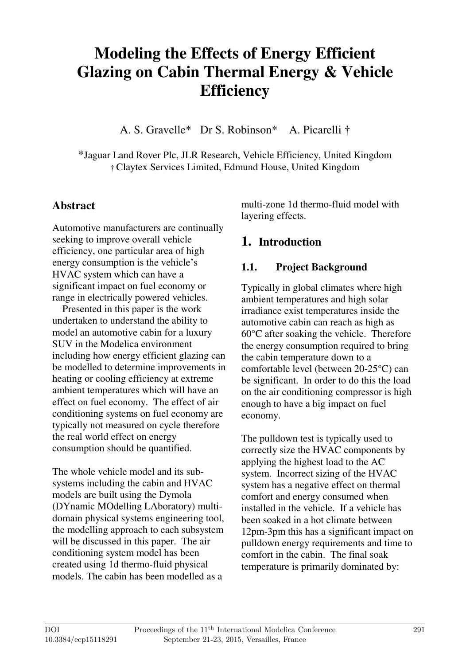# **Modeling the Effects of Energy Efficient Glazing on Cabin Thermal Energy & Vehicle Efficiency**

A. S. Gravelle\* Dr S. Robinson\* A. Picarelli †

\*Jaguar Land Rover Plc, JLR Research, Vehicle Efficiency, United Kingdom † Claytex Services Limited, Edmund House, United Kingdom

## **Abstract**

Automotive manufacturers are continually seeking to improve overall vehicle efficiency, one particular area of high energy consumption is the vehicle's HVAC system which can have a significant impact on fuel economy or range in electrically powered vehicles.

 Presented in this paper is the work undertaken to understand the ability to model an automotive cabin for a luxury SUV in the Modelica environment including how energy efficient glazing can be modelled to determine improvements in heating or cooling efficiency at extreme ambient temperatures which will have an effect on fuel economy. The effect of air conditioning systems on fuel economy are typically not measured on cycle therefore the real world effect on energy consumption should be quantified.

The whole vehicle model and its subsystems including the cabin and HVAC models are built using the Dymola (DYnamic MOdelling LAboratory) multidomain physical systems engineering tool, the modelling approach to each subsystem will be discussed in this paper. The air conditioning system model has been created using 1d thermo-fluid physical models. The cabin has been modelled as a

multi-zone 1d thermo-fluid model with layering effects.

## **1. Introduction**

## **1.1. Project Background**

Typically in global climates where high ambient temperatures and high solar irradiance exist temperatures inside the automotive cabin can reach as high as 60°C after soaking the vehicle. Therefore the energy consumption required to bring the cabin temperature down to a comfortable level (between 20-25°C) can be significant. In order to do this the load on the air conditioning compressor is high enough to have a big impact on fuel economy.

The pulldown test is typically used to correctly size the HVAC components by applying the highest load to the AC system. Incorrect sizing of the HVAC system has a negative effect on thermal comfort and energy consumed when installed in the vehicle. If a vehicle has been soaked in a hot climate between 12pm-3pm this has a significant impact on pulldown energy requirements and time to comfort in the cabin. The final soak temperature is primarily dominated by: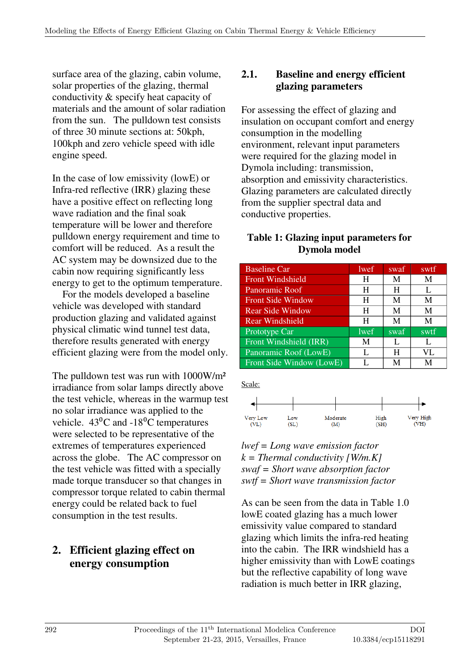surface area of the glazing, cabin volume, solar properties of the glazing, thermal conductivity & specify heat capacity of materials and the amount of solar radiation from the sun. The pulldown test consists of three 30 minute sections at: 50kph, 100kph and zero vehicle speed with idle engine speed.

In the case of low emissivity (lowE) or Infra-red reflective (IRR) glazing these have a positive effect on reflecting long wave radiation and the final soak temperature will be lower and therefore pulldown energy requirement and time to comfort will be reduced. As a result the AC system may be downsized due to the cabin now requiring significantly less energy to get to the optimum temperature.

 For the models developed a baseline vehicle was developed with standard production glazing and validated against physical climatic wind tunnel test data, therefore results generated with energy efficient glazing were from the model only.

The pulldown test was run with 1000W/m² irradiance from solar lamps directly above the test vehicle, whereas in the warmup test no solar irradiance was applied to the vehicle.  $43^{\circ}$ C and  $-18^{\circ}$ C temperatures were selected to be representative of the extremes of temperatures experienced across the globe. The AC compressor on the test vehicle was fitted with a specially made torque transducer so that changes in compressor torque related to cabin thermal energy could be related back to fuel consumption in the test results.

## **2. Efficient glazing effect on energy consumption**

## **2.1. Baseline and energy efficient glazing parameters**

For assessing the effect of glazing and insulation on occupant comfort and energy consumption in the modelling environment, relevant input parameters were required for the glazing model in Dymola including: transmission, absorption and emissivity characteristics. Glazing parameters are calculated directly from the supplier spectral data and conductive properties.

### **Table 1: Glazing input parameters for Dymola model**

| <b>Baseline Car</b>      | lwef | swaf | swtf |
|--------------------------|------|------|------|
| <b>Front Windshield</b>  | H    | M    | M    |
| Panoramic Roof           | H    | H    | L    |
| <b>Front Side Window</b> | H    | M    | M    |
| <b>Rear Side Window</b>  | H    | M    | M    |
| <b>Rear Windshield</b>   | H    | M    | M    |
| Prototype Car            | lwef | swaf | swtf |
| Front Windshield (IRR)   | M    | L    | L    |
| Panoramic Roof (LowE)    | L    | H    | VL   |
| Front Side Window (LowE) | L    | М    | М    |

Scale:



#### *lwef = Long wave emission factor k = Thermal conductivity [W/m.K] swaf = Short wave absorption factor swtf = Short wave transmission factor*

As can be seen from the data in Table 1.0 lowE coated glazing has a much lower emissivity value compared to standard glazing which limits the infra-red heating into the cabin. The IRR windshield has a higher emissivity than with LowE coatings but the reflective capability of long wave radiation is much better in IRR glazing,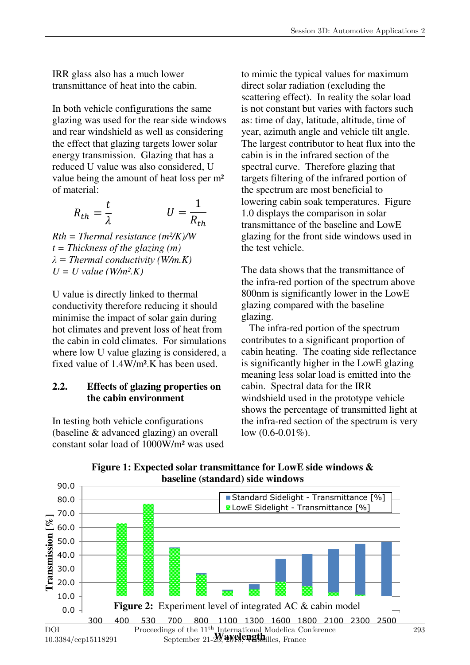IRR glass also has a much lower transmittance of heat into the cabin.

In both vehicle configurations the same glazing was used for the rear side windows and rear windshield as well as considering the effect that glazing targets lower solar energy transmission. Glazing that has a reduced U value was also considered, U value being the amount of heat loss per m² of material:

$$
R_{th} = \frac{t}{\lambda} \qquad U = \frac{1}{R_{th}}
$$

*Rth = Thermal resistance (m²/K)/W t = Thickness of the glazing (m) λ = Thermal conductivity (W/m.K)*   $U = U$  value (W/m<sup>2</sup>.K)

U value is directly linked to thermal conductivity therefore reducing it should minimise the impact of solar gain during hot climates and prevent loss of heat from the cabin in cold climates. For simulations where low U value glazing is considered, a fixed value of 1.4W/m².K has been used.

### **2.2. Effects of glazing properties on the cabin environment**

In testing both vehicle configurations (baseline & advanced glazing) an overall constant solar load of 1000W/m² was used to mimic the typical values for maximum direct solar radiation (excluding the scattering effect). In reality the solar load is not constant but varies with factors such as: time of day, latitude, altitude, time of year, azimuth angle and vehicle tilt angle. The largest contributor to heat flux into the cabin is in the infrared section of the spectral curve. Therefore glazing that targets filtering of the infrared portion of the spectrum are most beneficial to lowering cabin soak temperatures. Figure 1.0 displays the comparison in solar transmittance of the baseline and LowE glazing for the front side windows used in the test vehicle.

The data shows that the transmittance of the infra-red portion of the spectrum above 800nm is significantly lower in the LowE glazing compared with the baseline glazing.

 The infra-red portion of the spectrum contributes to a significant proportion of cabin heating. The coating side reflectance is significantly higher in the LowE glazing meaning less solar load is emitted into the cabin. Spectral data for the IRR windshield used in the prototype vehicle shows the percentage of transmitted light at the infra-red section of the spectrum is very low (0.6-0.01%).

293



**Figure 1: Expected solar transmittance for LowE side windows &**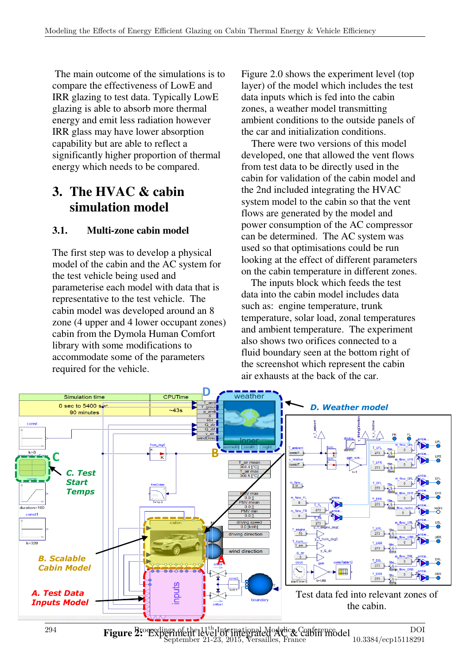The main outcome of the simulations is to compare the effectiveness of LowE and IRR glazing to test data. Typically LowE glazing is able to absorb more thermal energy and emit less radiation however IRR glass may have lower absorption capability but are able to reflect a significantly higher proportion of thermal energy which needs to be compared.

## **3. The HVAC & cabin simulation model**

### **3.1. Multi-zone cabin model**

The first step was to develop a physical model of the cabin and the AC system for the test vehicle being used and parameterise each model with data that is representative to the test vehicle. The cabin model was developed around an 8 zone (4 upper and 4 lower occupant zones) cabin from the Dymola Human Comfort library with some modifications to accommodate some of the parameters required for the vehicle.

Figure 2.0 shows the experiment level (top layer) of the model which includes the test data inputs which is fed into the cabin zones, a weather model transmitting ambient conditions to the outside panels of the car and initialization conditions.

 There were two versions of this model developed, one that allowed the vent flows from test data to be directly used in the cabin for validation of the cabin model and the 2nd included integrating the HVAC system model to the cabin so that the vent flows are generated by the model and power consumption of the AC compressor can be determined. The AC system was used so that optimisations could be run looking at the effect of different parameters on the cabin temperature in different zones.

 The inputs block which feeds the test data into the cabin model includes data such as: engine temperature, trunk temperature, solar load, zonal temperatures and ambient temperature. The experiment also shows two orifices connected to a fluid boundary seen at the bottom right of the screenshot which represent the cabin air exhausts at the back of the car.

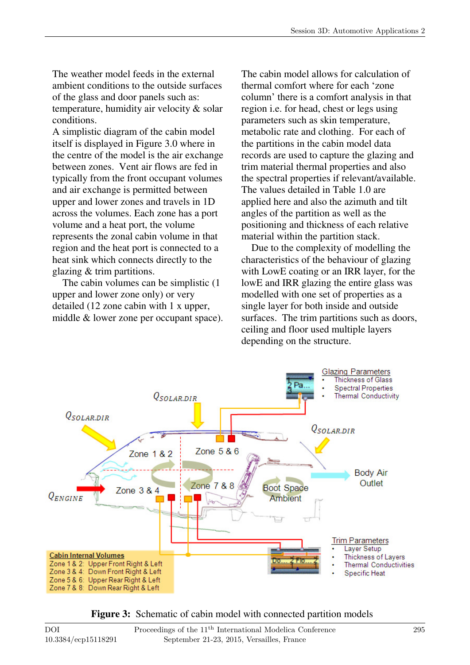The weather model feeds in the external ambient conditions to the outside surfaces of the glass and door panels such as: temperature, humidity air velocity & solar conditions.

A simplistic diagram of the cabin model itself is displayed in Figure 3.0 where in the centre of the model is the air exchange between zones. Vent air flows are fed in typically from the front occupant volumes and air exchange is permitted between upper and lower zones and travels in 1D across the volumes. Each zone has a port volume and a heat port, the volume represents the zonal cabin volume in that region and the heat port is connected to a heat sink which connects directly to the glazing & trim partitions.

 The cabin volumes can be simplistic (1 upper and lower zone only) or very detailed (12 zone cabin with 1 x upper, middle & lower zone per occupant space). The cabin model allows for calculation of thermal comfort where for each 'zone column' there is a comfort analysis in that region i.e. for head, chest or legs using parameters such as skin temperature, metabolic rate and clothing. For each of the partitions in the cabin model data records are used to capture the glazing and trim material thermal properties and also the spectral properties if relevant/available. The values detailed in Table 1.0 are applied here and also the azimuth and tilt angles of the partition as well as the positioning and thickness of each relative material within the partition stack.

 Due to the complexity of modelling the characteristics of the behaviour of glazing with LowE coating or an IRR layer, for the lowE and IRR glazing the entire glass was modelled with one set of properties as a single layer for both inside and outside surfaces. The trim partitions such as doors, ceiling and floor used multiple layers depending on the structure.



Figure 3: Schematic of cabin model with connected partition models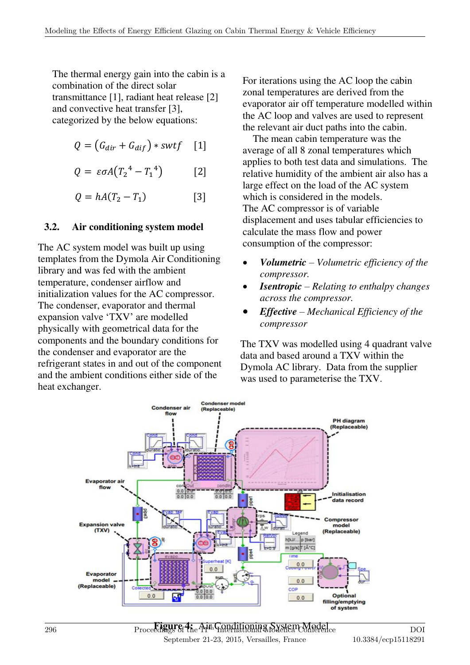The thermal energy gain into the cabin is a combination of the direct solar transmittance [1], radiant heat release [2] and convective heat transfer [3], categorized by the below equations:

$$
Q = (G_{dir} + G_{dif}) * swtf \quad [1]
$$

$$
Q = \varepsilon \sigma A (T_2^4 - T_1^4) \qquad [2]
$$

 $\lceil 3 \rceil$  $Q = hA(T_2 - T_1)$ 

### **3.2. Air conditioning system model**

The AC system model was built up using templates from the Dymola Air Conditioning library and was fed with the ambient temperature, condenser airflow and initialization values for the AC compressor. The condenser, evaporator and thermal expansion valve 'TXV' are modelled physically with geometrical data for the components and the boundary conditions for the condenser and evaporator are the refrigerant states in and out of the component and the ambient conditions either side of the heat exchanger.

For iterations using the AC loop the cabin zonal temperatures are derived from the evaporator air off temperature modelled within the AC loop and valves are used to represent the relevant air duct paths into the cabin.

 The mean cabin temperature was the average of all 8 zonal temperatures which applies to both test data and simulations. The relative humidity of the ambient air also has a large effect on the load of the AC system which is considered in the models. The AC compressor is of variable displacement and uses tabular efficiencies to calculate the mass flow and power consumption of the compressor:

- *Volumetric – Volumetric efficiency of the compressor.*
- *Isentropic – Relating to enthalpy changes across the compressor.*
- *Effective – Mechanical Efficiency of the compressor*

The TXV was modelled using 4 quadrant valve data and based around a TXV within the Dymola AC library. Data from the supplier was used to parameterise the TXV.



Proceedings of the Air Conditioning System Model of the 11th International Model of the 11th International Model of the 11th International Model of the 11th International Model of the 11th International Model of the 11th I September 21-23, 2015, Versailles, France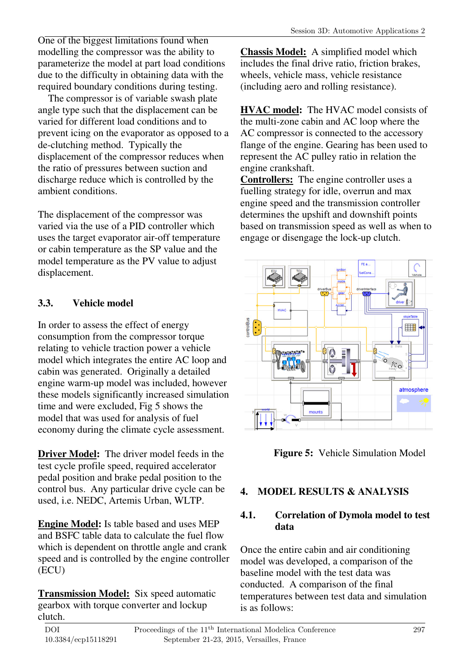One of the biggest limitations found when modelling the compressor was the ability to parameterize the model at part load conditions due to the difficulty in obtaining data with the required boundary conditions during testing.

 The compressor is of variable swash plate angle type such that the displacement can be varied for different load conditions and to prevent icing on the evaporator as opposed to a de-clutching method. Typically the displacement of the compressor reduces when the ratio of pressures between suction and discharge reduce which is controlled by the ambient conditions.

The displacement of the compressor was varied via the use of a PID controller which uses the target evaporator air-off temperature or cabin temperature as the SP value and the model temperature as the PV value to adjust displacement.

## **3.3. Vehicle model**

In order to assess the effect of energy consumption from the compressor torque relating to vehicle traction power a vehicle model which integrates the entire AC loop and cabin was generated. Originally a detailed engine warm-up model was included, however these models significantly increased simulation time and were excluded, Fig 5 shows the model that was used for analysis of fuel economy during the climate cycle assessment.

**Driver Model:** The driver model feeds in the test cycle profile speed, required accelerator pedal position and brake pedal position to the control bus. Any particular drive cycle can be used, i.e. NEDC, Artemis Urban, WLTP.

**Engine Model:** Is table based and uses MEP and BSFC table data to calculate the fuel flow which is dependent on throttle angle and crank speed and is controlled by the engine controller (ECU)

**Transmission Model:** Six speed automatic gearbox with torque converter and lockup clutch.

**Chassis Model:** A simplified model which includes the final drive ratio, friction brakes, wheels, vehicle mass, vehicle resistance (including aero and rolling resistance).

**HVAC model:** The HVAC model consists of the multi-zone cabin and AC loop where the AC compressor is connected to the accessory flange of the engine. Gearing has been used to represent the AC pulley ratio in relation the engine crankshaft.

**Controllers:** The engine controller uses a fuelling strategy for idle, overrun and max engine speed and the transmission controller determines the upshift and downshift points based on transmission speed as well as when to engage or disengage the lock-up clutch.



**Figure 5:** Vehicle Simulation Model

## **4. MODEL RESULTS & ANALYSIS**

## **4.1. Correlation of Dymola model to test data**

Once the entire cabin and air conditioning model was developed, a comparison of the baseline model with the test data was conducted. A comparison of the final temperatures between test data and simulation is as follows: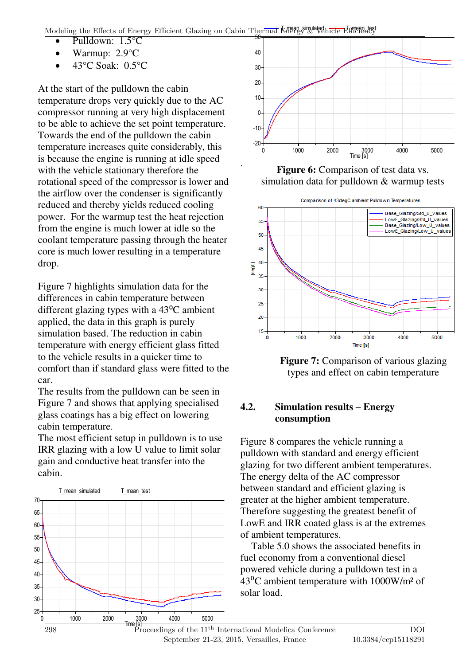Modeling the Effects of Energy Efficient Glazing on Cabin Thermal Energy & Vehicle Efficiency

.

- $\bullet$  Pulldown:  $1.5^{\circ}$ C
- Warmup: 2.9°C
- $\bullet$  43°C Soak: 0.5°C

At the start of the pulldown the cabin temperature drops very quickly due to the AC compressor running at very high displacement to be able to achieve the set point temperature. Towards the end of the pulldown the cabin temperature increases quite considerably, this is because the engine is running at idle speed with the vehicle stationary therefore the rotational speed of the compressor is lower and the airflow over the condenser is significantly reduced and thereby yields reduced cooling power. For the warmup test the heat rejection from the engine is much lower at idle so the coolant temperature passing through the heater core is much lower resulting in a temperature drop.

Figure 7 highlights simulation data for the differences in cabin temperature between different glazing types with a  $43^{\circ}$ C ambient applied, the data in this graph is purely simulation based. The reduction in cabin temperature with energy efficient glass fitted to the vehicle results in a quicker time to comfort than if standard glass were fitted to the car.

The results from the pulldown can be seen in Figure 7 and shows that applying specialised glass coatings has a big effect on lowering cabin temperature.

The most efficient setup in pulldown is to use IRR glazing with a low U value to limit solar gain and conductive heat transfer into the cabin.





Figure 6: Comparison of test data vs. simulation data for pulldown & warmup tests



**Figure 7:** Comparison of various glazing types and effect on cabin temperature

### **4.2. Simulation results – Energy consumption**

Figure 8 compares the vehicle running a pulldown with standard and energy efficient glazing for two different ambient temperatures. The energy delta of the AC compressor between standard and efficient glazing is greater at the higher ambient temperature. Therefore suggesting the greatest benefit of LowE and IRR coated glass is at the extremes of ambient temperatures.

 Table 5.0 shows the associated benefits in fuel economy from a conventional diesel powered vehicle during a pulldown test in a  $43^{\circ}$ C ambient temperature with 1000W/m<sup>2</sup> of solar load.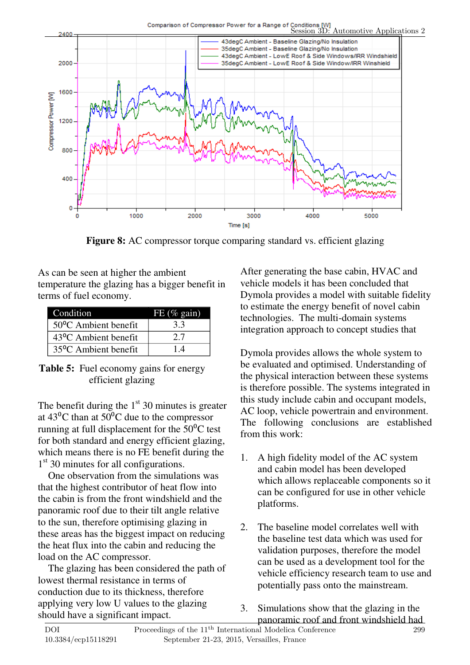



**5. CONCLUSIONS Figure 8:** AC compressor torque comparing standard vs. efficient glazing

As can be seen at higher the ambient temperature the glazing has a bigger benefit in terms of fuel economy.

| Condition                         | FE $(\%$ gain) |
|-----------------------------------|----------------|
| $50^{\circ}$ C Ambient benefit    | 3.3            |
| 43 <sup>o</sup> C Ambient benefit | 2.7            |
| 35 <sup>o</sup> C Ambient benefit | 14             |

**Table 5:** Fuel economy gains for energy efficient glazing

The benefit during the  $1<sup>st</sup>$  30 minutes is greater at  $43^{\circ}$ C than at  $50^{\circ}$ C due to the compressor running at full displacement for the  $50^{\circ}$ C test for both standard and energy efficient glazing, which means there is no FE benefit during the 1<sup>st</sup> 30 minutes for all configurations.

 One observation from the simulations was that the highest contributor of heat flow into the cabin is from the front windshield and the panoramic roof due to their tilt angle relative to the sun, therefore optimising glazing in these areas has the biggest impact on reducing the heat flux into the cabin and reducing the load on the AC compressor.

 The glazing has been considered the path of lowest thermal resistance in terms of conduction due to its thickness, therefore applying very low U values to the glazing should have a significant impact.

After generating the base cabin, HVAC and vehicle models it has been concluded that Dymola provides a model with suitable fidelity to estimate the energy benefit of novel cabin technologies. The multi-domain systems integration approach to concept studies that

Dymola provides allows the whole system to be evaluated and optimised. Understanding of the physical interaction between these systems is therefore possible. The systems integrated in this study include cabin and occupant models, AC loop, vehicle powertrain and environment. The following conclusions are established from this work:

- 1. A high fidelity model of the AC system and cabin model has been developed which allows replaceable components so it can be configured for use in other vehicle platforms.
- 2. The baseline model correlates well with the baseline test data which was used for validation purposes, therefore the model can be used as a development tool for the vehicle efficiency research team to use and potentially pass onto the mainstream.
- 3. Simulations show that the glazing in the panoramic roof and front windshield had